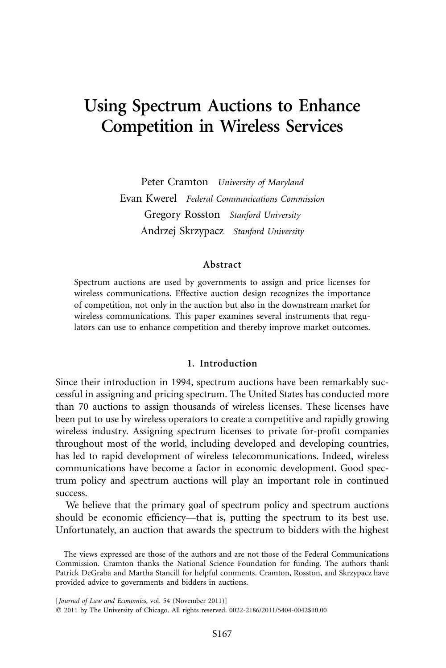# **Using Spectrum Auctions to Enhance Competition in Wireless Services**

Peter Cramton *University of Maryland* Evan Kwerel *Federal Communications Commission* Gregory Rosston *Stanford University* Andrzej Skrzypacz *Stanford University*

# **Abstract**

Spectrum auctions are used by governments to assign and price licenses for wireless communications. Effective auction design recognizes the importance of competition, not only in the auction but also in the downstream market for wireless communications. This paper examines several instruments that regulators can use to enhance competition and thereby improve market outcomes.

# **1. Introduction**

Since their introduction in 1994, spectrum auctions have been remarkably successful in assigning and pricing spectrum. The United States has conducted more than 70 auctions to assign thousands of wireless licenses. These licenses have been put to use by wireless operators to create a competitive and rapidly growing wireless industry. Assigning spectrum licenses to private for-profit companies throughout most of the world, including developed and developing countries, has led to rapid development of wireless telecommunications. Indeed, wireless communications have become a factor in economic development. Good spectrum policy and spectrum auctions will play an important role in continued success.

We believe that the primary goal of spectrum policy and spectrum auctions should be economic efficiency—that is, putting the spectrum to its best use. Unfortunately, an auction that awards the spectrum to bidders with the highest

[*Journal of Law and Economics*, vol. 54 (November 2011)]

The views expressed are those of the authors and are not those of the Federal Communications Commission. Cramton thanks the National Science Foundation for funding. The authors thank Patrick DeGraba and Martha Stancill for helpful comments. Cramton, Rosston, and Skrzypacz have provided advice to governments and bidders in auctions.

<sup>© 2011</sup> by The University of Chicago. All rights reserved. 0022-2186/2011/5404-0042\$10.00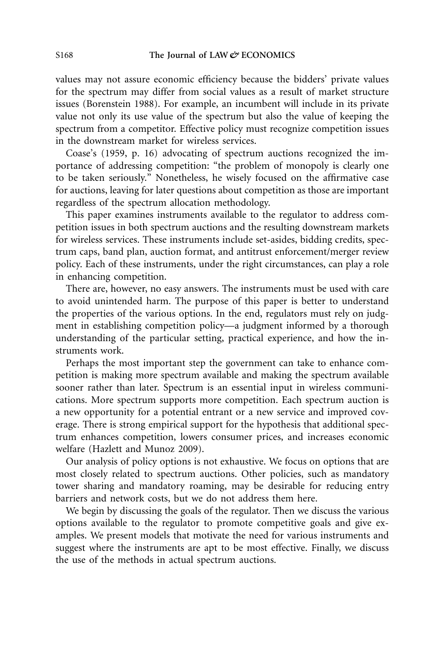values may not assure economic efficiency because the bidders' private values for the spectrum may differ from social values as a result of market structure issues (Borenstein 1988). For example, an incumbent will include in its private value not only its use value of the spectrum but also the value of keeping the spectrum from a competitor. Effective policy must recognize competition issues in the downstream market for wireless services.

Coase's (1959, p. 16) advocating of spectrum auctions recognized the importance of addressing competition: "the problem of monopoly is clearly one to be taken seriously." Nonetheless, he wisely focused on the affirmative case for auctions, leaving for later questions about competition as those are important regardless of the spectrum allocation methodology.

This paper examines instruments available to the regulator to address competition issues in both spectrum auctions and the resulting downstream markets for wireless services. These instruments include set-asides, bidding credits, spectrum caps, band plan, auction format, and antitrust enforcement/merger review policy. Each of these instruments, under the right circumstances, can play a role in enhancing competition.

There are, however, no easy answers. The instruments must be used with care to avoid unintended harm. The purpose of this paper is better to understand the properties of the various options. In the end, regulators must rely on judgment in establishing competition policy—a judgment informed by a thorough understanding of the particular setting, practical experience, and how the instruments work.

Perhaps the most important step the government can take to enhance competition is making more spectrum available and making the spectrum available sooner rather than later. Spectrum is an essential input in wireless communications. More spectrum supports more competition. Each spectrum auction is a new opportunity for a potential entrant or a new service and improved coverage. There is strong empirical support for the hypothesis that additional spectrum enhances competition, lowers consumer prices, and increases economic welfare (Hazlett and Munoz 2009).

Our analysis of policy options is not exhaustive. We focus on options that are most closely related to spectrum auctions. Other policies, such as mandatory tower sharing and mandatory roaming, may be desirable for reducing entry barriers and network costs, but we do not address them here.

We begin by discussing the goals of the regulator. Then we discuss the various options available to the regulator to promote competitive goals and give examples. We present models that motivate the need for various instruments and suggest where the instruments are apt to be most effective. Finally, we discuss the use of the methods in actual spectrum auctions.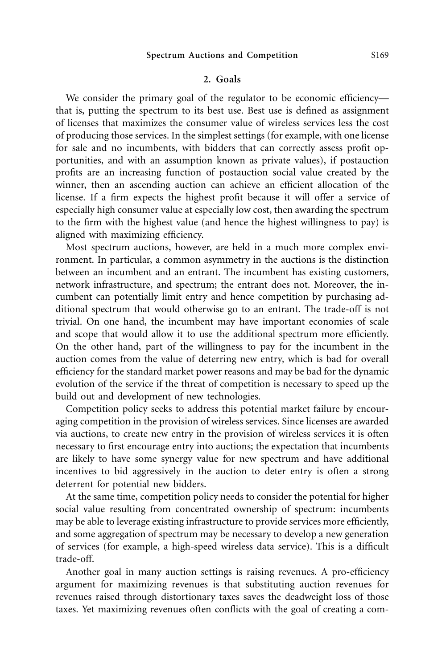## **2. Goals**

We consider the primary goal of the regulator to be economic efficiencythat is, putting the spectrum to its best use. Best use is defined as assignment of licenses that maximizes the consumer value of wireless services less the cost of producing those services. In the simplest settings (for example, with one license for sale and no incumbents, with bidders that can correctly assess profit opportunities, and with an assumption known as private values), if postauction profits are an increasing function of postauction social value created by the winner, then an ascending auction can achieve an efficient allocation of the license. If a firm expects the highest profit because it will offer a service of especially high consumer value at especially low cost, then awarding the spectrum to the firm with the highest value (and hence the highest willingness to pay) is aligned with maximizing efficiency.

Most spectrum auctions, however, are held in a much more complex environment. In particular, a common asymmetry in the auctions is the distinction between an incumbent and an entrant. The incumbent has existing customers, network infrastructure, and spectrum; the entrant does not. Moreover, the incumbent can potentially limit entry and hence competition by purchasing additional spectrum that would otherwise go to an entrant. The trade-off is not trivial. On one hand, the incumbent may have important economies of scale and scope that would allow it to use the additional spectrum more efficiently. On the other hand, part of the willingness to pay for the incumbent in the auction comes from the value of deterring new entry, which is bad for overall efficiency for the standard market power reasons and may be bad for the dynamic evolution of the service if the threat of competition is necessary to speed up the build out and development of new technologies.

Competition policy seeks to address this potential market failure by encouraging competition in the provision of wireless services. Since licenses are awarded via auctions, to create new entry in the provision of wireless services it is often necessary to first encourage entry into auctions; the expectation that incumbents are likely to have some synergy value for new spectrum and have additional incentives to bid aggressively in the auction to deter entry is often a strong deterrent for potential new bidders.

At the same time, competition policy needs to consider the potential for higher social value resulting from concentrated ownership of spectrum: incumbents may be able to leverage existing infrastructure to provide services more efficiently, and some aggregation of spectrum may be necessary to develop a new generation of services (for example, a high-speed wireless data service). This is a difficult trade-off.

Another goal in many auction settings is raising revenues. A pro-efficiency argument for maximizing revenues is that substituting auction revenues for revenues raised through distortionary taxes saves the deadweight loss of those taxes. Yet maximizing revenues often conflicts with the goal of creating a com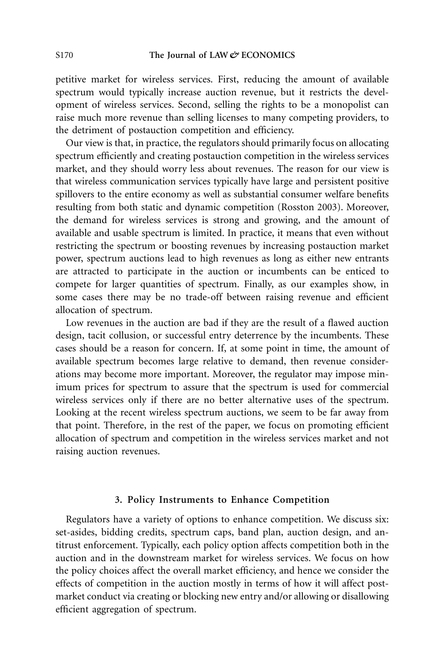petitive market for wireless services. First, reducing the amount of available spectrum would typically increase auction revenue, but it restricts the development of wireless services. Second, selling the rights to be a monopolist can raise much more revenue than selling licenses to many competing providers, to the detriment of postauction competition and efficiency.

Our view is that, in practice, the regulators should primarily focus on allocating spectrum efficiently and creating postauction competition in the wireless services market, and they should worry less about revenues. The reason for our view is that wireless communication services typically have large and persistent positive spillovers to the entire economy as well as substantial consumer welfare benefits resulting from both static and dynamic competition (Rosston 2003). Moreover, the demand for wireless services is strong and growing, and the amount of available and usable spectrum is limited. In practice, it means that even without restricting the spectrum or boosting revenues by increasing postauction market power, spectrum auctions lead to high revenues as long as either new entrants are attracted to participate in the auction or incumbents can be enticed to compete for larger quantities of spectrum. Finally, as our examples show, in some cases there may be no trade-off between raising revenue and efficient allocation of spectrum.

Low revenues in the auction are bad if they are the result of a flawed auction design, tacit collusion, or successful entry deterrence by the incumbents. These cases should be a reason for concern. If, at some point in time, the amount of available spectrum becomes large relative to demand, then revenue considerations may become more important. Moreover, the regulator may impose minimum prices for spectrum to assure that the spectrum is used for commercial wireless services only if there are no better alternative uses of the spectrum. Looking at the recent wireless spectrum auctions, we seem to be far away from that point. Therefore, in the rest of the paper, we focus on promoting efficient allocation of spectrum and competition in the wireless services market and not raising auction revenues.

#### **3. Policy Instruments to Enhance Competition**

Regulators have a variety of options to enhance competition. We discuss six: set-asides, bidding credits, spectrum caps, band plan, auction design, and antitrust enforcement. Typically, each policy option affects competition both in the auction and in the downstream market for wireless services. We focus on how the policy choices affect the overall market efficiency, and hence we consider the effects of competition in the auction mostly in terms of how it will affect postmarket conduct via creating or blocking new entry and/or allowing or disallowing efficient aggregation of spectrum.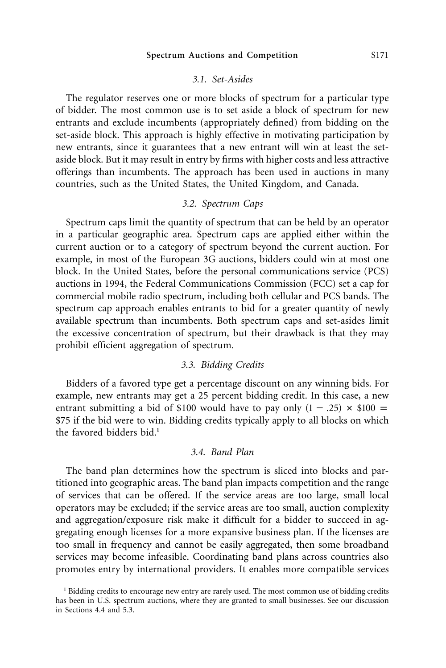## **Spectrum Auctions and Competition** S171

# *3.1. Set-Asides*

The regulator reserves one or more blocks of spectrum for a particular type of bidder. The most common use is to set aside a block of spectrum for new entrants and exclude incumbents (appropriately defined) from bidding on the set-aside block. This approach is highly effective in motivating participation by new entrants, since it guarantees that a new entrant will win at least the setaside block. But it may result in entry by firms with higher costs and less attractive offerings than incumbents. The approach has been used in auctions in many countries, such as the United States, the United Kingdom, and Canada.

# *3.2. Spectrum Caps*

Spectrum caps limit the quantity of spectrum that can be held by an operator in a particular geographic area. Spectrum caps are applied either within the current auction or to a category of spectrum beyond the current auction. For example, in most of the European 3G auctions, bidders could win at most one block. In the United States, before the personal communications service (PCS) auctions in 1994, the Federal Communications Commission (FCC) set a cap for commercial mobile radio spectrum, including both cellular and PCS bands. The spectrum cap approach enables entrants to bid for a greater quantity of newly available spectrum than incumbents. Both spectrum caps and set-asides limit the excessive concentration of spectrum, but their drawback is that they may prohibit efficient aggregation of spectrum.

# *3.3. Bidding Credits*

Bidders of a favored type get a percentage discount on any winning bids. For example, new entrants may get a 25 percent bidding credit. In this case, a new entrant submitting a bid of \$100 would have to pay only  $(1 - .25) \times $100 =$ \$75 if the bid were to win. Bidding credits typically apply to all blocks on which the favored bidders bid.**<sup>1</sup>**

# *3.4. Band Plan*

The band plan determines how the spectrum is sliced into blocks and partitioned into geographic areas. The band plan impacts competition and the range of services that can be offered. If the service areas are too large, small local operators may be excluded; if the service areas are too small, auction complexity and aggregation/exposure risk make it difficult for a bidder to succeed in aggregating enough licenses for a more expansive business plan. If the licenses are too small in frequency and cannot be easily aggregated, then some broadband services may become infeasible. Coordinating band plans across countries also promotes entry by international providers. It enables more compatible services

<sup>&</sup>lt;sup>1</sup> Bidding credits to encourage new entry are rarely used. The most common use of bidding credits has been in U.S. spectrum auctions, where they are granted to small businesses. See our discussion in Sections 4.4 and 5.3.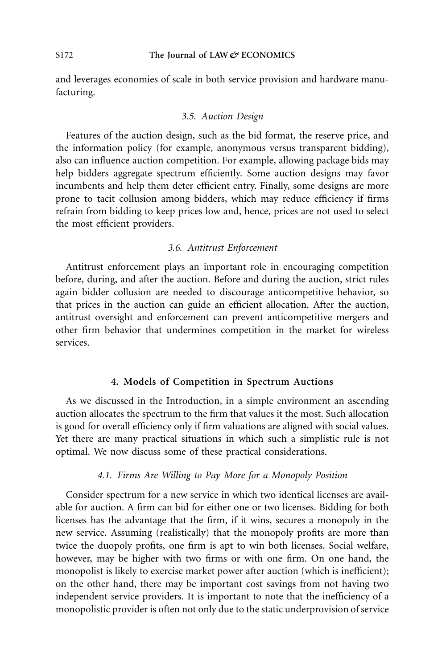and leverages economies of scale in both service provision and hardware manufacturing.

## *3.5. Auction Design*

Features of the auction design, such as the bid format, the reserve price, and the information policy (for example, anonymous versus transparent bidding), also can influence auction competition. For example, allowing package bids may help bidders aggregate spectrum efficiently. Some auction designs may favor incumbents and help them deter efficient entry. Finally, some designs are more prone to tacit collusion among bidders, which may reduce efficiency if firms refrain from bidding to keep prices low and, hence, prices are not used to select the most efficient providers.

# *3.6. Antitrust Enforcement*

Antitrust enforcement plays an important role in encouraging competition before, during, and after the auction. Before and during the auction, strict rules again bidder collusion are needed to discourage anticompetitive behavior, so that prices in the auction can guide an efficient allocation. After the auction, antitrust oversight and enforcement can prevent anticompetitive mergers and other firm behavior that undermines competition in the market for wireless services.

# **4. Models of Competition in Spectrum Auctions**

As we discussed in the Introduction, in a simple environment an ascending auction allocates the spectrum to the firm that values it the most. Such allocation is good for overall efficiency only if firm valuations are aligned with social values. Yet there are many practical situations in which such a simplistic rule is not optimal. We now discuss some of these practical considerations.

# *4.1. Firms Are Willing to Pay More for a Monopoly Position*

Consider spectrum for a new service in which two identical licenses are available for auction. A firm can bid for either one or two licenses. Bidding for both licenses has the advantage that the firm, if it wins, secures a monopoly in the new service. Assuming (realistically) that the monopoly profits are more than twice the duopoly profits, one firm is apt to win both licenses. Social welfare, however, may be higher with two firms or with one firm. On one hand, the monopolist is likely to exercise market power after auction (which is inefficient); on the other hand, there may be important cost savings from not having two independent service providers. It is important to note that the inefficiency of a monopolistic provider is often not only due to the static underprovision of service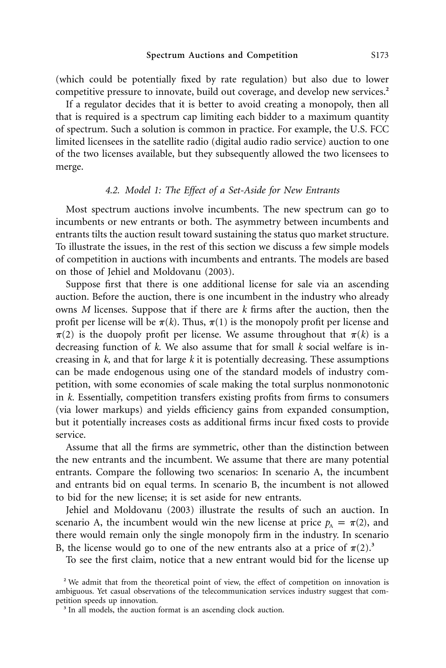(which could be potentially fixed by rate regulation) but also due to lower competitive pressure to innovate, build out coverage, and develop new services.**<sup>2</sup>**

If a regulator decides that it is better to avoid creating a monopoly, then all that is required is a spectrum cap limiting each bidder to a maximum quantity of spectrum. Such a solution is common in practice. For example, the U.S. FCC limited licensees in the satellite radio (digital audio radio service) auction to one of the two licenses available, but they subsequently allowed the two licensees to merge.

# *4.2. Model 1: The Effect of a Set-Aside for New Entrants*

Most spectrum auctions involve incumbents. The new spectrum can go to incumbents or new entrants or both. The asymmetry between incumbents and entrants tilts the auction result toward sustaining the status quo market structure. To illustrate the issues, in the rest of this section we discuss a few simple models of competition in auctions with incumbents and entrants. The models are based on those of Jehiel and Moldovanu (2003).

Suppose first that there is one additional license for sale via an ascending auction. Before the auction, there is one incumbent in the industry who already owns *M* licenses. Suppose that if there are *k* firms after the auction, then the profit per license will be  $\pi(k)$ . Thus,  $\pi(1)$  is the monopoly profit per license and  $\pi(2)$  is the duopoly profit per license. We assume throughout that  $\pi(k)$  is a decreasing function of *k.* We also assume that for small *k* social welfare is increasing in *k,* and that for large *k* it is potentially decreasing. These assumptions can be made endogenous using one of the standard models of industry competition, with some economies of scale making the total surplus nonmonotonic in *k.* Essentially, competition transfers existing profits from firms to consumers (via lower markups) and yields efficiency gains from expanded consumption, but it potentially increases costs as additional firms incur fixed costs to provide service.

Assume that all the firms are symmetric, other than the distinction between the new entrants and the incumbent. We assume that there are many potential entrants. Compare the following two scenarios: In scenario A, the incumbent and entrants bid on equal terms. In scenario B, the incumbent is not allowed to bid for the new license; it is set aside for new entrants.

Jehiel and Moldovanu (2003) illustrate the results of such an auction. In scenario A, the incumbent would win the new license at price  $p_A = \pi(2)$ , and there would remain only the single monopoly firm in the industry. In scenario B, the license would go to one of the new entrants also at a price of  $\pi(2)$ .<sup>3</sup>

To see the first claim, notice that a new entrant would bid for the license up

<sup>&</sup>lt;sup>2</sup> We admit that from the theoretical point of view, the effect of competition on innovation is ambiguous. Yet casual observations of the telecommunication services industry suggest that competition speeds up innovation.

<sup>&</sup>lt;sup>3</sup> In all models, the auction format is an ascending clock auction.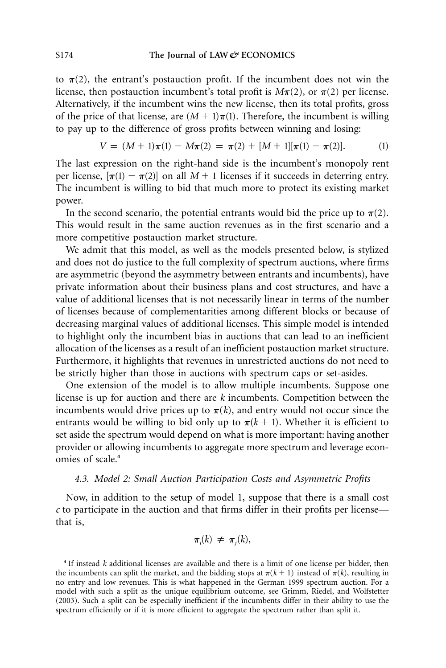to  $\pi(2)$ , the entrant's postauction profit. If the incumbent does not win the license, then postauction incumbent's total profit is  $M\pi(2)$ , or  $\pi(2)$  per license. Alternatively, if the incumbent wins the new license, then its total profits, gross of the price of that license, are  $(M + 1)\pi(1)$ . Therefore, the incumbent is willing to pay up to the difference of gross profits between winning and losing:

$$
V = (M+1)\pi(1) - M\pi(2) = \pi(2) + [M+1][\pi(1) - \pi(2)].
$$
 (1)

The last expression on the right-hand side is the incumbent's monopoly rent per license,  $[\pi(1) - \pi(2)]$  on all  $M + 1$  licenses if it succeeds in deterring entry. The incumbent is willing to bid that much more to protect its existing market power.

In the second scenario, the potential entrants would bid the price up to  $\pi(2)$ . This would result in the same auction revenues as in the first scenario and a more competitive postauction market structure.

We admit that this model, as well as the models presented below, is stylized and does not do justice to the full complexity of spectrum auctions, where firms are asymmetric (beyond the asymmetry between entrants and incumbents), have private information about their business plans and cost structures, and have a value of additional licenses that is not necessarily linear in terms of the number of licenses because of complementarities among different blocks or because of decreasing marginal values of additional licenses. This simple model is intended to highlight only the incumbent bias in auctions that can lead to an inefficient allocation of the licenses as a result of an inefficient postauction market structure. Furthermore, it highlights that revenues in unrestricted auctions do not need to be strictly higher than those in auctions with spectrum caps or set-asides.

One extension of the model is to allow multiple incumbents. Suppose one license is up for auction and there are *k* incumbents. Competition between the incumbents would drive prices up to  $\pi(k)$ , and entry would not occur since the entrants would be willing to bid only up to  $\pi(k + 1)$ . Whether it is efficient to set aside the spectrum would depend on what is more important: having another provider or allowing incumbents to aggregate more spectrum and leverage economies of scale.**<sup>4</sup>**

# *4.3. Model 2: Small Auction Participation Costs and Asymmetric Profits*

Now, in addition to the setup of model 1, suppose that there is a small cost *c* to participate in the auction and that firms differ in their profits per license that is,

$$
\pi_i(k) \neq \pi_j(k),
$$

**<sup>4</sup>** If instead *k* additional licenses are available and there is a limit of one license per bidder, then the incumbents can split the market, and the bidding stops at  $\pi(k + 1)$  instead of  $\pi(k)$ , resulting in no entry and low revenues. This is what happened in the German 1999 spectrum auction. For a model with such a split as the unique equilibrium outcome, see Grimm, Riedel, and Wolfstetter (2003). Such a split can be especially inefficient if the incumbents differ in their ability to use the spectrum efficiently or if it is more efficient to aggregate the spectrum rather than split it.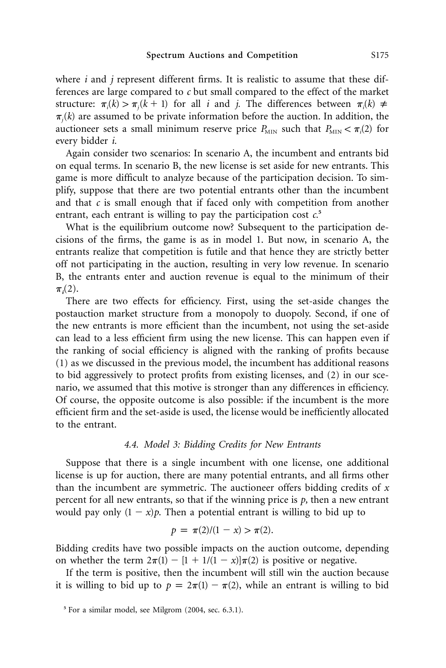where *i* and *j* represent different firms. It is realistic to assume that these differences are large compared to *c* but small compared to the effect of the market structure:  $\pi_i(k) > \pi_j(k+1)$  for all *i* and *j*. The differences between  $\pi_i(k) \neq$  $\pi$ <sub>i</sub>(*k*) are assumed to be private information before the auction. In addition, the auctioneer sets a small minimum reserve price  $P_{\text{MIN}}$  such that  $P_{\text{MIN}} < \pi_i(2)$  for every bidder *i.*

Again consider two scenarios: In scenario A, the incumbent and entrants bid on equal terms. In scenario B, the new license is set aside for new entrants. This game is more difficult to analyze because of the participation decision. To simplify, suppose that there are two potential entrants other than the incumbent and that *c* is small enough that if faced only with competition from another entrant, each entrant is willing to pay the participation cost  $c^5$ 

What is the equilibrium outcome now? Subsequent to the participation decisions of the firms, the game is as in model 1. But now, in scenario A, the entrants realize that competition is futile and that hence they are strictly better off not participating in the auction, resulting in very low revenue. In scenario B, the entrants enter and auction revenue is equal to the minimum of their  $\pi_i(2)$ .

There are two effects for efficiency. First, using the set-aside changes the postauction market structure from a monopoly to duopoly. Second, if one of the new entrants is more efficient than the incumbent, not using the set-aside can lead to a less efficient firm using the new license. This can happen even if the ranking of social efficiency is aligned with the ranking of profits because (1) as we discussed in the previous model, the incumbent has additional reasons to bid aggressively to protect profits from existing licenses, and (2) in our scenario, we assumed that this motive is stronger than any differences in efficiency. Of course, the opposite outcome is also possible: if the incumbent is the more efficient firm and the set-aside is used, the license would be inefficiently allocated to the entrant.

#### *4.4. Model 3: Bidding Credits for New Entrants*

Suppose that there is a single incumbent with one license, one additional license is up for auction, there are many potential entrants, and all firms other than the incumbent are symmetric. The auctioneer offers bidding credits of *x* percent for all new entrants, so that if the winning price is *p,* then a new entrant would pay only  $(1 - x)p$ . Then a potential entrant is willing to bid up to

$$
p = \pi(2)/(1 - x) > \pi(2).
$$

Bidding credits have two possible impacts on the auction outcome, depending on whether the term  $2\pi(1) - [1 + 1/(1 - x)]\pi(2)$  is positive or negative.

If the term is positive, then the incumbent will still win the auction because it is willing to bid up to  $p = 2\pi(1) - \pi(2)$ , while an entrant is willing to bid

**<sup>5</sup>** For a similar model, see Milgrom (2004, sec. 6.3.1).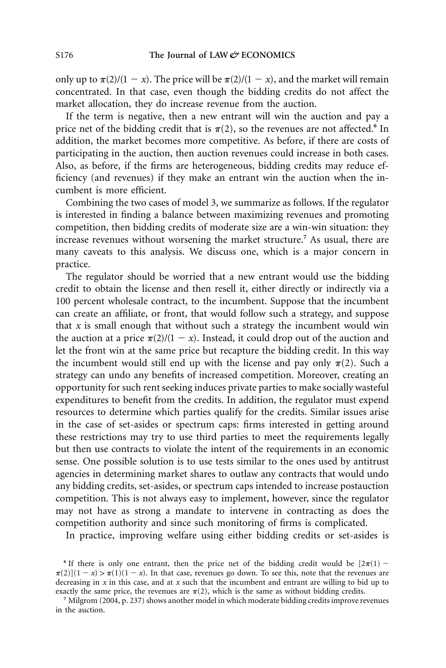only up to  $\pi(2)/(1 - x)$ . The price will be  $\pi(2)/(1 - x)$ , and the market will remain concentrated. In that case, even though the bidding credits do not affect the market allocation, they do increase revenue from the auction.

If the term is negative, then a new entrant will win the auction and pay a price net of the bidding credit that is  $\pi(2)$ , so the revenues are not affected.<sup>6</sup> In addition, the market becomes more competitive. As before, if there are costs of participating in the auction, then auction revenues could increase in both cases. Also, as before, if the firms are heterogeneous, bidding credits may reduce efficiency (and revenues) if they make an entrant win the auction when the incumbent is more efficient.

Combining the two cases of model 3, we summarize as follows. If the regulator is interested in finding a balance between maximizing revenues and promoting competition, then bidding credits of moderate size are a win-win situation: they increase revenues without worsening the market structure.**<sup>7</sup>** As usual, there are many caveats to this analysis. We discuss one, which is a major concern in practice.

The regulator should be worried that a new entrant would use the bidding credit to obtain the license and then resell it, either directly or indirectly via a 100 percent wholesale contract, to the incumbent. Suppose that the incumbent can create an affiliate, or front, that would follow such a strategy, and suppose that *x* is small enough that without such a strategy the incumbent would win the auction at a price  $\pi(2)/(1 - x)$ . Instead, it could drop out of the auction and let the front win at the same price but recapture the bidding credit. In this way the incumbent would still end up with the license and pay only  $\pi(2)$ . Such a strategy can undo any benefits of increased competition. Moreover, creating an opportunity for such rent seeking induces private parties to make socially wasteful expenditures to benefit from the credits. In addition, the regulator must expend resources to determine which parties qualify for the credits. Similar issues arise in the case of set-asides or spectrum caps: firms interested in getting around these restrictions may try to use third parties to meet the requirements legally but then use contracts to violate the intent of the requirements in an economic sense. One possible solution is to use tests similar to the ones used by antitrust agencies in determining market shares to outlaw any contracts that would undo any bidding credits, set-asides, or spectrum caps intended to increase postauction competition. This is not always easy to implement, however, since the regulator may not have as strong a mandate to intervene in contracting as does the competition authority and since such monitoring of firms is complicated.

In practice, improving welfare using either bidding credits or set-asides is

<sup>&</sup>lt;sup>6</sup> If there is only one entrant, then the price net of the bidding credit would be  $[2\pi(1)$  - $\pi(2)[(1-x) > \pi(1)(1-x)$ . In that case, revenues go down. To see this, note that the revenues are decreasing in *x* in this case, and at *x* such that the incumbent and entrant are willing to bid up to exactly the same price, the revenues are  $\pi(2)$ , which is the same as without bidding credits.

**<sup>7</sup>** Milgrom (2004, p. 237) shows another model in which moderate bidding credits improve revenues in the auction.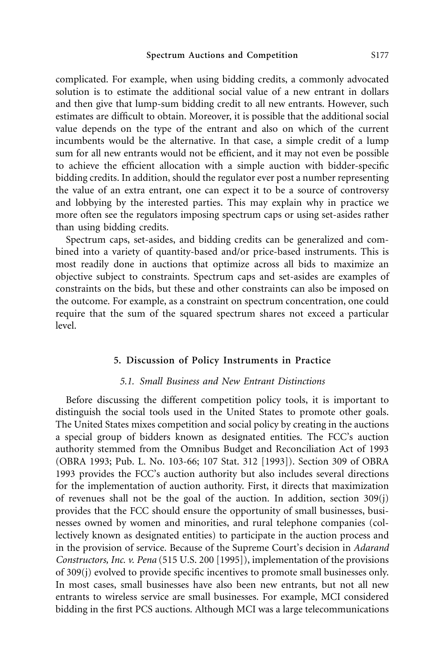complicated. For example, when using bidding credits, a commonly advocated solution is to estimate the additional social value of a new entrant in dollars and then give that lump-sum bidding credit to all new entrants. However, such estimates are difficult to obtain. Moreover, it is possible that the additional social value depends on the type of the entrant and also on which of the current incumbents would be the alternative. In that case, a simple credit of a lump sum for all new entrants would not be efficient, and it may not even be possible to achieve the efficient allocation with a simple auction with bidder-specific bidding credits. In addition, should the regulator ever post a number representing the value of an extra entrant, one can expect it to be a source of controversy and lobbying by the interested parties. This may explain why in practice we more often see the regulators imposing spectrum caps or using set-asides rather than using bidding credits.

Spectrum caps, set-asides, and bidding credits can be generalized and combined into a variety of quantity-based and/or price-based instruments. This is most readily done in auctions that optimize across all bids to maximize an objective subject to constraints. Spectrum caps and set-asides are examples of constraints on the bids, but these and other constraints can also be imposed on the outcome. For example, as a constraint on spectrum concentration, one could require that the sum of the squared spectrum shares not exceed a particular level.

#### **5. Discussion of Policy Instruments in Practice**

# *5.1. Small Business and New Entrant Distinctions*

Before discussing the different competition policy tools, it is important to distinguish the social tools used in the United States to promote other goals. The United States mixes competition and social policy by creating in the auctions a special group of bidders known as designated entities. The FCC's auction authority stemmed from the Omnibus Budget and Reconciliation Act of 1993 (OBRA 1993; Pub. L. No. 103-66; 107 Stat. 312 [1993]). Section 309 of OBRA 1993 provides the FCC's auction authority but also includes several directions for the implementation of auction authority. First, it directs that maximization of revenues shall not be the goal of the auction. In addition, section 309(j) provides that the FCC should ensure the opportunity of small businesses, businesses owned by women and minorities, and rural telephone companies (collectively known as designated entities) to participate in the auction process and in the provision of service. Because of the Supreme Court's decision in *Adarand Constructors, Inc. v. Pena* (515 U.S. 200 [1995]), implementation of the provisions of 309(j) evolved to provide specific incentives to promote small businesses only. In most cases, small businesses have also been new entrants, but not all new entrants to wireless service are small businesses. For example, MCI considered bidding in the first PCS auctions. Although MCI was a large telecommunications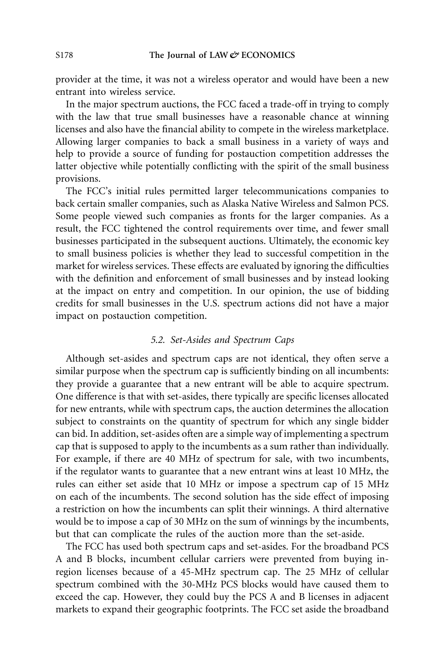provider at the time, it was not a wireless operator and would have been a new entrant into wireless service.

In the major spectrum auctions, the FCC faced a trade-off in trying to comply with the law that true small businesses have a reasonable chance at winning licenses and also have the financial ability to compete in the wireless marketplace. Allowing larger companies to back a small business in a variety of ways and help to provide a source of funding for postauction competition addresses the latter objective while potentially conflicting with the spirit of the small business provisions.

The FCC's initial rules permitted larger telecommunications companies to back certain smaller companies, such as Alaska Native Wireless and Salmon PCS. Some people viewed such companies as fronts for the larger companies. As a result, the FCC tightened the control requirements over time, and fewer small businesses participated in the subsequent auctions. Ultimately, the economic key to small business policies is whether they lead to successful competition in the market for wireless services. These effects are evaluated by ignoring the difficulties with the definition and enforcement of small businesses and by instead looking at the impact on entry and competition. In our opinion, the use of bidding credits for small businesses in the U.S. spectrum actions did not have a major impact on postauction competition.

# *5.2. Set-Asides and Spectrum Caps*

Although set-asides and spectrum caps are not identical, they often serve a similar purpose when the spectrum cap is sufficiently binding on all incumbents: they provide a guarantee that a new entrant will be able to acquire spectrum. One difference is that with set-asides, there typically are specific licenses allocated for new entrants, while with spectrum caps, the auction determines the allocation subject to constraints on the quantity of spectrum for which any single bidder can bid. In addition, set-asides often are a simple way of implementing a spectrum cap that is supposed to apply to the incumbents as a sum rather than individually. For example, if there are 40 MHz of spectrum for sale, with two incumbents, if the regulator wants to guarantee that a new entrant wins at least 10 MHz, the rules can either set aside that 10 MHz or impose a spectrum cap of 15 MHz on each of the incumbents. The second solution has the side effect of imposing a restriction on how the incumbents can split their winnings. A third alternative would be to impose a cap of 30 MHz on the sum of winnings by the incumbents, but that can complicate the rules of the auction more than the set-aside.

The FCC has used both spectrum caps and set-asides. For the broadband PCS A and B blocks, incumbent cellular carriers were prevented from buying inregion licenses because of a 45-MHz spectrum cap. The 25 MHz of cellular spectrum combined with the 30-MHz PCS blocks would have caused them to exceed the cap. However, they could buy the PCS A and B licenses in adjacent markets to expand their geographic footprints. The FCC set aside the broadband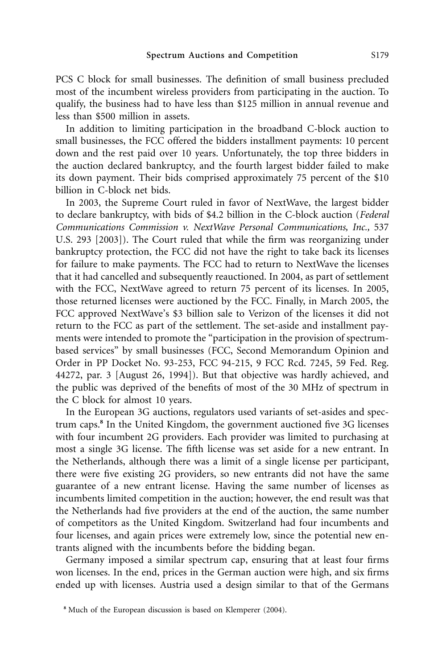PCS C block for small businesses. The definition of small business precluded most of the incumbent wireless providers from participating in the auction. To qualify, the business had to have less than \$125 million in annual revenue and less than \$500 million in assets.

In addition to limiting participation in the broadband C-block auction to small businesses, the FCC offered the bidders installment payments: 10 percent down and the rest paid over 10 years. Unfortunately, the top three bidders in the auction declared bankruptcy, and the fourth largest bidder failed to make its down payment. Their bids comprised approximately 75 percent of the \$10 billion in C-block net bids.

In 2003, the Supreme Court ruled in favor of NextWave, the largest bidder to declare bankruptcy, with bids of \$4.2 billion in the C-block auction (*Federal Communications Commission v. NextWave Personal Communications, Inc.,* 537 U.S. 293 [2003]). The Court ruled that while the firm was reorganizing under bankruptcy protection, the FCC did not have the right to take back its licenses for failure to make payments. The FCC had to return to NextWave the licenses that it had cancelled and subsequently reauctioned. In 2004, as part of settlement with the FCC, NextWave agreed to return 75 percent of its licenses. In 2005, those returned licenses were auctioned by the FCC. Finally, in March 2005, the FCC approved NextWave's \$3 billion sale to Verizon of the licenses it did not return to the FCC as part of the settlement. The set-aside and installment payments were intended to promote the "participation in the provision of spectrumbased services" by small businesses (FCC, Second Memorandum Opinion and Order in PP Docket No. 93-253, FCC 94-215, 9 FCC Rcd. 7245, 59 Fed. Reg. 44272, par. 3 [August 26, 1994]). But that objective was hardly achieved, and the public was deprived of the benefits of most of the 30 MHz of spectrum in the C block for almost 10 years.

In the European 3G auctions, regulators used variants of set-asides and spectrum caps.**<sup>8</sup>** In the United Kingdom, the government auctioned five 3G licenses with four incumbent 2G providers. Each provider was limited to purchasing at most a single 3G license. The fifth license was set aside for a new entrant. In the Netherlands, although there was a limit of a single license per participant, there were five existing 2G providers, so new entrants did not have the same guarantee of a new entrant license. Having the same number of licenses as incumbents limited competition in the auction; however, the end result was that the Netherlands had five providers at the end of the auction, the same number of competitors as the United Kingdom. Switzerland had four incumbents and four licenses, and again prices were extremely low, since the potential new entrants aligned with the incumbents before the bidding began.

Germany imposed a similar spectrum cap, ensuring that at least four firms won licenses. In the end, prices in the German auction were high, and six firms ended up with licenses. Austria used a design similar to that of the Germans

**<sup>8</sup>** Much of the European discussion is based on Klemperer (2004).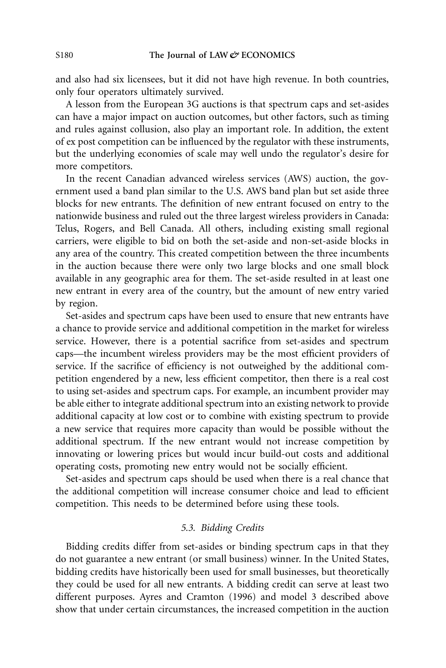and also had six licensees, but it did not have high revenue. In both countries, only four operators ultimately survived.

A lesson from the European 3G auctions is that spectrum caps and set-asides can have a major impact on auction outcomes, but other factors, such as timing and rules against collusion, also play an important role. In addition, the extent of ex post competition can be influenced by the regulator with these instruments, but the underlying economies of scale may well undo the regulator's desire for more competitors.

In the recent Canadian advanced wireless services (AWS) auction, the government used a band plan similar to the U.S. AWS band plan but set aside three blocks for new entrants. The definition of new entrant focused on entry to the nationwide business and ruled out the three largest wireless providers in Canada: Telus, Rogers, and Bell Canada. All others, including existing small regional carriers, were eligible to bid on both the set-aside and non-set-aside blocks in any area of the country. This created competition between the three incumbents in the auction because there were only two large blocks and one small block available in any geographic area for them. The set-aside resulted in at least one new entrant in every area of the country, but the amount of new entry varied by region.

Set-asides and spectrum caps have been used to ensure that new entrants have a chance to provide service and additional competition in the market for wireless service. However, there is a potential sacrifice from set-asides and spectrum caps—the incumbent wireless providers may be the most efficient providers of service. If the sacrifice of efficiency is not outweighed by the additional competition engendered by a new, less efficient competitor, then there is a real cost to using set-asides and spectrum caps. For example, an incumbent provider may be able either to integrate additional spectrum into an existing network to provide additional capacity at low cost or to combine with existing spectrum to provide a new service that requires more capacity than would be possible without the additional spectrum. If the new entrant would not increase competition by innovating or lowering prices but would incur build-out costs and additional operating costs, promoting new entry would not be socially efficient.

Set-asides and spectrum caps should be used when there is a real chance that the additional competition will increase consumer choice and lead to efficient competition. This needs to be determined before using these tools.

## *5.3. Bidding Credits*

Bidding credits differ from set-asides or binding spectrum caps in that they do not guarantee a new entrant (or small business) winner. In the United States, bidding credits have historically been used for small businesses, but theoretically they could be used for all new entrants. A bidding credit can serve at least two different purposes. Ayres and Cramton (1996) and model 3 described above show that under certain circumstances, the increased competition in the auction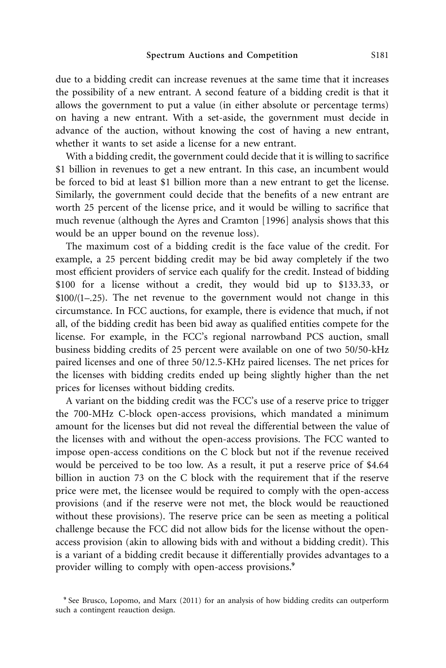due to a bidding credit can increase revenues at the same time that it increases the possibility of a new entrant. A second feature of a bidding credit is that it allows the government to put a value (in either absolute or percentage terms) on having a new entrant. With a set-aside, the government must decide in advance of the auction, without knowing the cost of having a new entrant, whether it wants to set aside a license for a new entrant.

With a bidding credit, the government could decide that it is willing to sacrifice \$1 billion in revenues to get a new entrant. In this case, an incumbent would be forced to bid at least \$1 billion more than a new entrant to get the license. Similarly, the government could decide that the benefits of a new entrant are worth 25 percent of the license price, and it would be willing to sacrifice that much revenue (although the Ayres and Cramton [1996] analysis shows that this would be an upper bound on the revenue loss).

The maximum cost of a bidding credit is the face value of the credit. For example, a 25 percent bidding credit may be bid away completely if the two most efficient providers of service each qualify for the credit. Instead of bidding \$100 for a license without a credit, they would bid up to \$133.33, or  $$100/(1-.25)$ . The net revenue to the government would not change in this circumstance. In FCC auctions, for example, there is evidence that much, if not all, of the bidding credit has been bid away as qualified entities compete for the license. For example, in the FCC's regional narrowband PCS auction, small business bidding credits of 25 percent were available on one of two 50/50-kHz paired licenses and one of three 50/12.5-KHz paired licenses. The net prices for the licenses with bidding credits ended up being slightly higher than the net prices for licenses without bidding credits.

A variant on the bidding credit was the FCC's use of a reserve price to trigger the 700-MHz C-block open-access provisions, which mandated a minimum amount for the licenses but did not reveal the differential between the value of the licenses with and without the open-access provisions. The FCC wanted to impose open-access conditions on the C block but not if the revenue received would be perceived to be too low. As a result, it put a reserve price of \$4.64 billion in auction 73 on the C block with the requirement that if the reserve price were met, the licensee would be required to comply with the open-access provisions (and if the reserve were not met, the block would be reauctioned without these provisions). The reserve price can be seen as meeting a political challenge because the FCC did not allow bids for the license without the openaccess provision (akin to allowing bids with and without a bidding credit). This is a variant of a bidding credit because it differentially provides advantages to a provider willing to comply with open-access provisions.**<sup>9</sup>**

**<sup>9</sup>** See Brusco, Lopomo, and Marx (2011) for an analysis of how bidding credits can outperform such a contingent reauction design.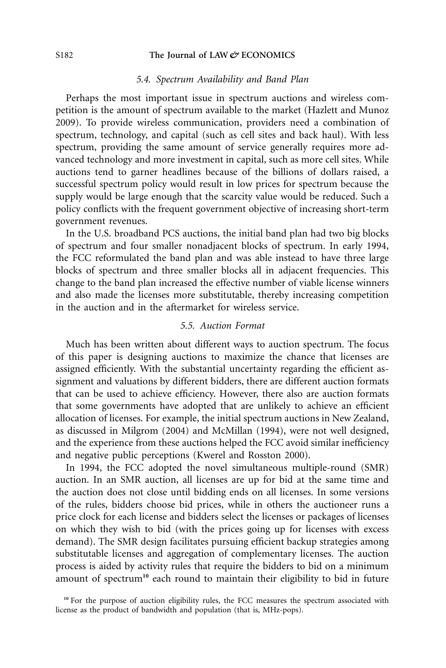#### S182 **The Journal of LAW***&* **ECONOMICS**

# *5.4. Spectrum Availability and Band Plan*

Perhaps the most important issue in spectrum auctions and wireless competition is the amount of spectrum available to the market (Hazlett and Munoz 2009). To provide wireless communication, providers need a combination of spectrum, technology, and capital (such as cell sites and back haul). With less spectrum, providing the same amount of service generally requires more advanced technology and more investment in capital, such as more cell sites. While auctions tend to garner headlines because of the billions of dollars raised, a successful spectrum policy would result in low prices for spectrum because the supply would be large enough that the scarcity value would be reduced. Such a policy conflicts with the frequent government objective of increasing short-term government revenues.

In the U.S. broadband PCS auctions, the initial band plan had two big blocks of spectrum and four smaller nonadjacent blocks of spectrum. In early 1994, the FCC reformulated the band plan and was able instead to have three large blocks of spectrum and three smaller blocks all in adjacent frequencies. This change to the band plan increased the effective number of viable license winners and also made the licenses more substitutable, thereby increasing competition in the auction and in the aftermarket for wireless service.

# *5.5. Auction Format*

Much has been written about different ways to auction spectrum. The focus of this paper is designing auctions to maximize the chance that licenses are assigned efficiently. With the substantial uncertainty regarding the efficient assignment and valuations by different bidders, there are different auction formats that can be used to achieve efficiency. However, there also are auction formats that some governments have adopted that are unlikely to achieve an efficient allocation of licenses. For example, the initial spectrum auctions in New Zealand, as discussed in Milgrom (2004) and McMillan (1994), were not well designed, and the experience from these auctions helped the FCC avoid similar inefficiency and negative public perceptions (Kwerel and Rosston 2000).

In 1994, the FCC adopted the novel simultaneous multiple-round (SMR) auction. In an SMR auction, all licenses are up for bid at the same time and the auction does not close until bidding ends on all licenses. In some versions of the rules, bidders choose bid prices, while in others the auctioneer runs a price clock for each license and bidders select the licenses or packages of licenses on which they wish to bid (with the prices going up for licenses with excess demand). The SMR design facilitates pursuing efficient backup strategies among substitutable licenses and aggregation of complementary licenses. The auction process is aided by activity rules that require the bidders to bid on a minimum amount of spectrum**<sup>10</sup>** each round to maintain their eligibility to bid in future

<sup>&</sup>lt;sup>10</sup> For the purpose of auction eligibility rules, the FCC measures the spectrum associated with license as the product of bandwidth and population (that is, MHz-pops).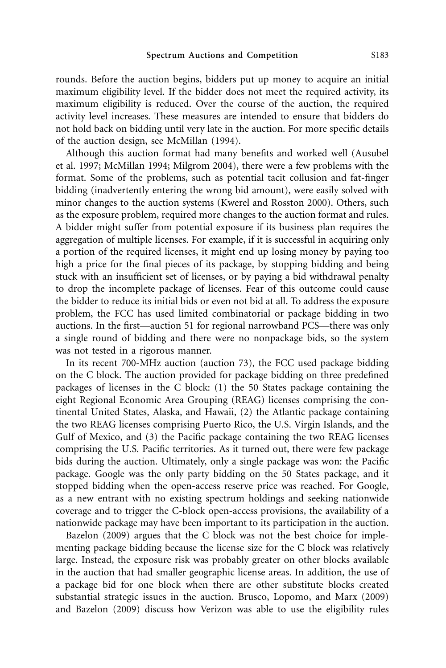rounds. Before the auction begins, bidders put up money to acquire an initial maximum eligibility level. If the bidder does not meet the required activity, its maximum eligibility is reduced. Over the course of the auction, the required activity level increases. These measures are intended to ensure that bidders do not hold back on bidding until very late in the auction. For more specific details of the auction design, see McMillan (1994).

Although this auction format had many benefits and worked well (Ausubel et al. 1997; McMillan 1994; Milgrom 2004), there were a few problems with the format. Some of the problems, such as potential tacit collusion and fat-finger bidding (inadvertently entering the wrong bid amount), were easily solved with minor changes to the auction systems (Kwerel and Rosston 2000). Others, such as the exposure problem, required more changes to the auction format and rules. A bidder might suffer from potential exposure if its business plan requires the aggregation of multiple licenses. For example, if it is successful in acquiring only a portion of the required licenses, it might end up losing money by paying too high a price for the final pieces of its package, by stopping bidding and being stuck with an insufficient set of licenses, or by paying a bid withdrawal penalty to drop the incomplete package of licenses. Fear of this outcome could cause the bidder to reduce its initial bids or even not bid at all. To address the exposure problem, the FCC has used limited combinatorial or package bidding in two auctions. In the first—auction 51 for regional narrowband PCS—there was only a single round of bidding and there were no nonpackage bids, so the system was not tested in a rigorous manner.

In its recent 700-MHz auction (auction 73), the FCC used package bidding on the C block. The auction provided for package bidding on three predefined packages of licenses in the C block: (1) the 50 States package containing the eight Regional Economic Area Grouping (REAG) licenses comprising the continental United States, Alaska, and Hawaii, (2) the Atlantic package containing the two REAG licenses comprising Puerto Rico, the U.S. Virgin Islands, and the Gulf of Mexico, and (3) the Pacific package containing the two REAG licenses comprising the U.S. Pacific territories. As it turned out, there were few package bids during the auction. Ultimately, only a single package was won: the Pacific package. Google was the only party bidding on the 50 States package, and it stopped bidding when the open-access reserve price was reached. For Google, as a new entrant with no existing spectrum holdings and seeking nationwide coverage and to trigger the C-block open-access provisions, the availability of a nationwide package may have been important to its participation in the auction.

Bazelon (2009) argues that the C block was not the best choice for implementing package bidding because the license size for the C block was relatively large. Instead, the exposure risk was probably greater on other blocks available in the auction that had smaller geographic license areas. In addition, the use of a package bid for one block when there are other substitute blocks created substantial strategic issues in the auction. Brusco, Lopomo, and Marx (2009) and Bazelon (2009) discuss how Verizon was able to use the eligibility rules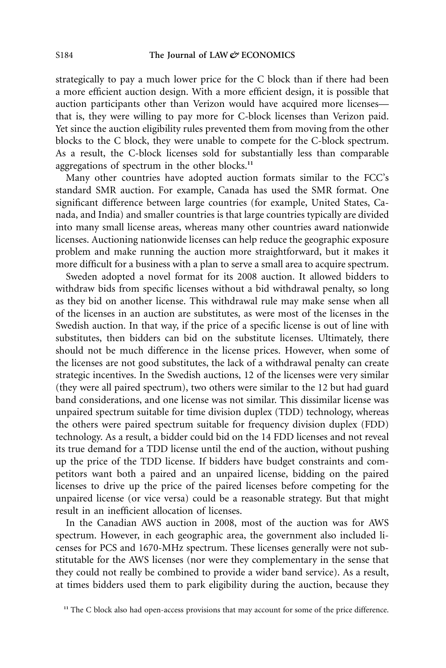strategically to pay a much lower price for the C block than if there had been a more efficient auction design. With a more efficient design, it is possible that auction participants other than Verizon would have acquired more licenses that is, they were willing to pay more for C-block licenses than Verizon paid. Yet since the auction eligibility rules prevented them from moving from the other blocks to the C block, they were unable to compete for the C-block spectrum. As a result, the C-block licenses sold for substantially less than comparable aggregations of spectrum in the other blocks.**<sup>11</sup>**

Many other countries have adopted auction formats similar to the FCC's standard SMR auction. For example, Canada has used the SMR format. One significant difference between large countries (for example, United States, Canada, and India) and smaller countries is that large countries typically are divided into many small license areas, whereas many other countries award nationwide licenses. Auctioning nationwide licenses can help reduce the geographic exposure problem and make running the auction more straightforward, but it makes it more difficult for a business with a plan to serve a small area to acquire spectrum.

Sweden adopted a novel format for its 2008 auction. It allowed bidders to withdraw bids from specific licenses without a bid withdrawal penalty, so long as they bid on another license. This withdrawal rule may make sense when all of the licenses in an auction are substitutes, as were most of the licenses in the Swedish auction. In that way, if the price of a specific license is out of line with substitutes, then bidders can bid on the substitute licenses. Ultimately, there should not be much difference in the license prices. However, when some of the licenses are not good substitutes, the lack of a withdrawal penalty can create strategic incentives. In the Swedish auctions, 12 of the licenses were very similar (they were all paired spectrum), two others were similar to the 12 but had guard band considerations, and one license was not similar. This dissimilar license was unpaired spectrum suitable for time division duplex (TDD) technology, whereas the others were paired spectrum suitable for frequency division duplex (FDD) technology. As a result, a bidder could bid on the 14 FDD licenses and not reveal its true demand for a TDD license until the end of the auction, without pushing up the price of the TDD license. If bidders have budget constraints and competitors want both a paired and an unpaired license, bidding on the paired licenses to drive up the price of the paired licenses before competing for the unpaired license (or vice versa) could be a reasonable strategy. But that might result in an inefficient allocation of licenses.

In the Canadian AWS auction in 2008, most of the auction was for AWS spectrum. However, in each geographic area, the government also included licenses for PCS and 1670-MHz spectrum. These licenses generally were not substitutable for the AWS licenses (nor were they complementary in the sense that they could not really be combined to provide a wider band service). As a result, at times bidders used them to park eligibility during the auction, because they

**<sup>11</sup>** The C block also had open-access provisions that may account for some of the price difference.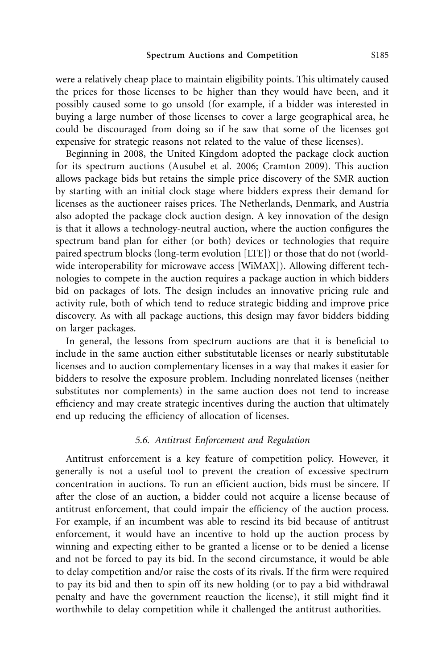were a relatively cheap place to maintain eligibility points. This ultimately caused the prices for those licenses to be higher than they would have been, and it possibly caused some to go unsold (for example, if a bidder was interested in buying a large number of those licenses to cover a large geographical area, he could be discouraged from doing so if he saw that some of the licenses got expensive for strategic reasons not related to the value of these licenses).

Beginning in 2008, the United Kingdom adopted the package clock auction for its spectrum auctions (Ausubel et al. 2006; Cramton 2009). This auction allows package bids but retains the simple price discovery of the SMR auction by starting with an initial clock stage where bidders express their demand for licenses as the auctioneer raises prices. The Netherlands, Denmark, and Austria also adopted the package clock auction design. A key innovation of the design is that it allows a technology-neutral auction, where the auction configures the spectrum band plan for either (or both) devices or technologies that require paired spectrum blocks (long-term evolution [LTE]) or those that do not (worldwide interoperability for microwave access [WiMAX]). Allowing different technologies to compete in the auction requires a package auction in which bidders bid on packages of lots. The design includes an innovative pricing rule and activity rule, both of which tend to reduce strategic bidding and improve price discovery. As with all package auctions, this design may favor bidders bidding on larger packages.

In general, the lessons from spectrum auctions are that it is beneficial to include in the same auction either substitutable licenses or nearly substitutable licenses and to auction complementary licenses in a way that makes it easier for bidders to resolve the exposure problem. Including nonrelated licenses (neither substitutes nor complements) in the same auction does not tend to increase efficiency and may create strategic incentives during the auction that ultimately end up reducing the efficiency of allocation of licenses.

# *5.6. Antitrust Enforcement and Regulation*

Antitrust enforcement is a key feature of competition policy. However, it generally is not a useful tool to prevent the creation of excessive spectrum concentration in auctions. To run an efficient auction, bids must be sincere. If after the close of an auction, a bidder could not acquire a license because of antitrust enforcement, that could impair the efficiency of the auction process. For example, if an incumbent was able to rescind its bid because of antitrust enforcement, it would have an incentive to hold up the auction process by winning and expecting either to be granted a license or to be denied a license and not be forced to pay its bid. In the second circumstance, it would be able to delay competition and/or raise the costs of its rivals. If the firm were required to pay its bid and then to spin off its new holding (or to pay a bid withdrawal penalty and have the government reauction the license), it still might find it worthwhile to delay competition while it challenged the antitrust authorities.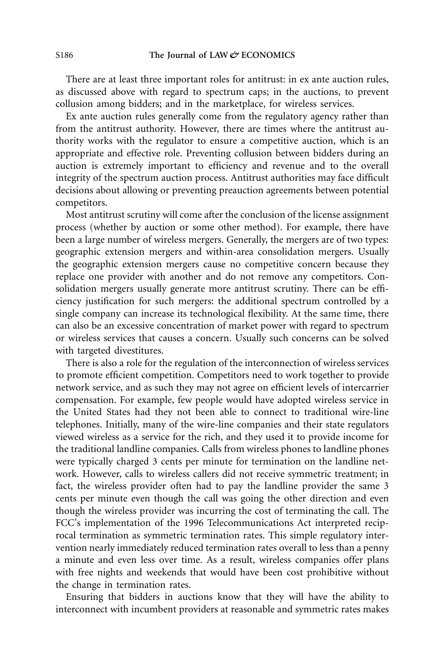There are at least three important roles for antitrust: in ex ante auction rules, as discussed above with regard to spectrum caps; in the auctions, to prevent collusion among bidders; and in the marketplace, for wireless services.

Ex ante auction rules generally come from the regulatory agency rather than from the antitrust authority. However, there are times where the antitrust authority works with the regulator to ensure a competitive auction, which is an appropriate and effective role. Preventing collusion between bidders during an auction is extremely important to efficiency and revenue and to the overall integrity of the spectrum auction process. Antitrust authorities may face difficult decisions about allowing or preventing preauction agreements between potential competitors.

Most antitrust scrutiny will come after the conclusion of the license assignment process (whether by auction or some other method). For example, there have been a large number of wireless mergers. Generally, the mergers are of two types: geographic extension mergers and within-area consolidation mergers. Usually the geographic extension mergers cause no competitive concern because they replace one provider with another and do not remove any competitors. Consolidation mergers usually generate more antitrust scrutiny. There can be efficiency justification for such mergers: the additional spectrum controlled by a single company can increase its technological flexibility. At the same time, there can also be an excessive concentration of market power with regard to spectrum or wireless services that causes a concern. Usually such concerns can be solved with targeted divestitures.

There is also a role for the regulation of the interconnection of wireless services to promote efficient competition. Competitors need to work together to provide network service, and as such they may not agree on efficient levels of intercarrier compensation. For example, few people would have adopted wireless service in the United States had they not been able to connect to traditional wire-line telephones. Initially, many of the wire-line companies and their state regulators viewed wireless as a service for the rich, and they used it to provide income for the traditional landline companies. Calls from wireless phones to landline phones were typically charged 3 cents per minute for termination on the landline network. However, calls to wireless callers did not receive symmetric treatment; in fact, the wireless provider often had to pay the landline provider the same 3 cents per minute even though the call was going the other direction and even though the wireless provider was incurring the cost of terminating the call. The FCC's implementation of the 1996 Telecommunications Act interpreted reciprocal termination as symmetric termination rates. This simple regulatory intervention nearly immediately reduced termination rates overall to less than a penny a minute and even less over time. As a result, wireless companies offer plans with free nights and weekends that would have been cost prohibitive without the change in termination rates.

Ensuring that bidders in auctions know that they will have the ability to interconnect with incumbent providers at reasonable and symmetric rates makes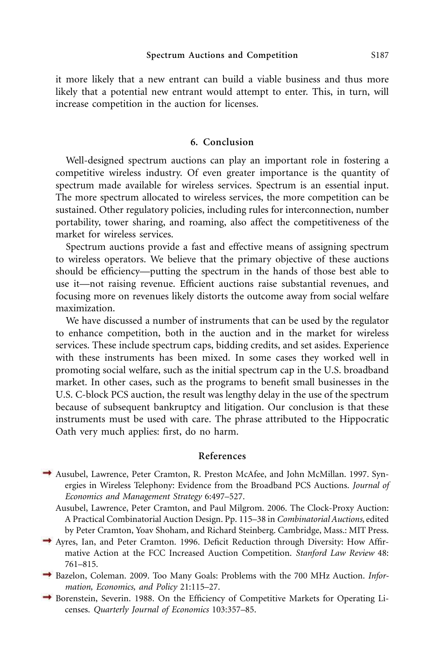it more likely that a new entrant can build a viable business and thus more likely that a potential new entrant would attempt to enter. This, in turn, will increase competition in the auction for licenses.

# **6. Conclusion**

Well-designed spectrum auctions can play an important role in fostering a competitive wireless industry. Of even greater importance is the quantity of spectrum made available for wireless services. Spectrum is an essential input. The more spectrum allocated to wireless services, the more competition can be sustained. Other regulatory policies, including rules for interconnection, number portability, tower sharing, and roaming, also affect the competitiveness of the market for wireless services.

Spectrum auctions provide a fast and effective means of assigning spectrum to wireless operators. We believe that the primary objective of these auctions should be efficiency—putting the spectrum in the hands of those best able to use it—not raising revenue. Efficient auctions raise substantial revenues, and focusing more on revenues likely distorts the outcome away from social welfare maximization.

We have discussed a number of instruments that can be used by the regulator to enhance competition, both in the auction and in the market for wireless services. These include spectrum caps, bidding credits, and set asides. Experience with these instruments has been mixed. In some cases they worked well in promoting social welfare, such as the initial spectrum cap in the U.S. broadband market. In other cases, such as the programs to benefit small businesses in the U.S. C-block PCS auction, the result was lengthy delay in the use of the spectrum because of subsequent bankruptcy and litigation. Our conclusion is that these instruments must be used with care. The phrase attributed to the Hippocratic Oath very much applies: first, do no harm.

#### **References**

- Ausubel, Lawrence, Peter Cramton, R. Preston McAfee, and John McMillan. 1997. Synergies in Wireless Telephony: Evidence from the Broadband PCS Auctions. *Journal of Economics and Management Strategy* 6:497–527.
	- Ausubel, Lawrence, Peter Cramton, and Paul Milgrom. 2006. The Clock-Proxy Auction: A Practical Combinatorial Auction Design. Pp. 115–38 in *Combinatorial Auctions,* edited by Peter Cramton, Yoav Shoham, and Richard Steinberg. Cambridge, Mass.: MIT Press.
- Ayres, Ian, and Peter Cramton. 1996. Deficit Reduction through Diversity: How Affirmative Action at the FCC Increased Auction Competition. *Stanford Law Review* 48: 761–815.
- Bazelon, Coleman. 2009. Too Many Goals: Problems with the 700 MHz Auction. *Information, Economics, and Policy* 21:115–27.
- Borenstein, Severin. 1988. On the Efficiency of Competitive Markets for Operating Licenses. *Quarterly Journal of Economics* 103:357–85.